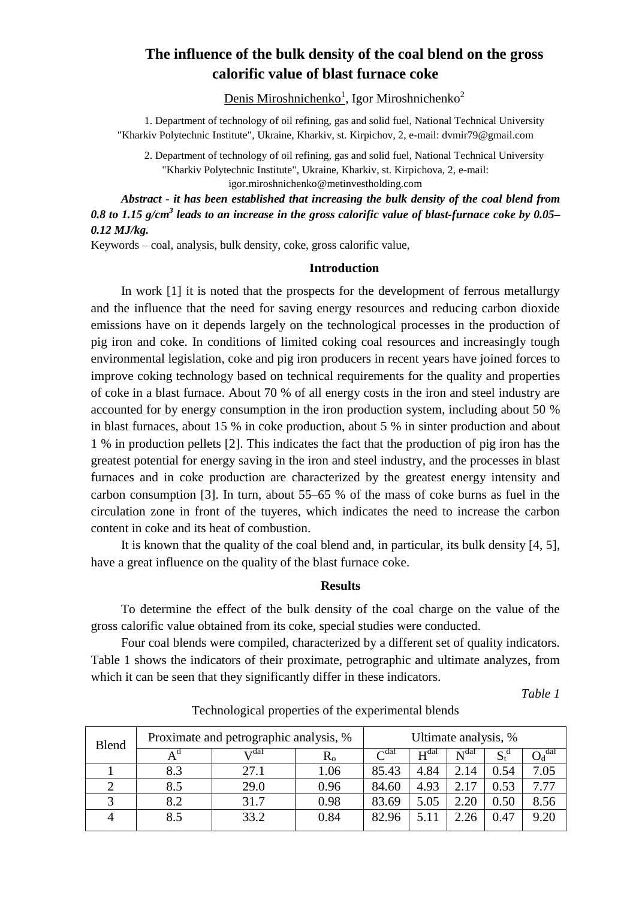# **The influence of the bulk density of the coal blend on the gross calorific value of blast furnace coke**

Denis Miroshnichenko<sup>1</sup>, Igor Miroshnichenko<sup>2</sup>

1. Department of technology of oil refining, gas and solid fuel, National Technical University "Kharkiv Polytechnic Institute", Ukraine, Kharkiv, st. Kirpichov, 2, e-mail: dvmir79@gmail.com

2. Department of technology of oil refining, gas and solid fuel, National Technical University "Kharkiv Polytechnic Institute", Ukraine, Kharkiv, st. Kirpichova, 2, e-mail:

igor.miroshnichenko@metinvestholding.com

*Abstract - it has been established that increasing the bulk density of the coal blend from 0.8 to 1.15 g/cm<sup>3</sup> leads to an increase in the gross calorific value of blast-furnace coke by 0.05– 0.12 MJ/kg.*

Keywords – coal, analysis, bulk density, coke, gross calorific value,

## **Introduction**

In work [1] it is noted that the prospects for the development of ferrous metallurgy and the influence that the need for saving energy resources and reducing carbon dioxide emissions have on it depends largely on the technological processes in the production of pig iron and coke. In conditions of limited coking coal resources and increasingly tough environmental legislation, coke and pig iron producers in recent years have joined forces to improve coking technology based on technical requirements for the quality and properties of coke in a blast furnace. About 70 % of all energy costs in the iron and steel industry are accounted for by energy consumption in the iron production system, including about 50 % in blast furnaces, about 15 % in coke production, about 5 % in sinter production and about 1 % in production pellets [2]. This indicates the fact that the production of pig iron has the greatest potential for energy saving in the iron and steel industry, and the processes in blast furnaces and in coke production are characterized by the greatest energy intensity and carbon consumption [3]. In turn, about 55–65 % of the mass of coke burns as fuel in the circulation zone in front of the tuyeres, which indicates the need to increase the carbon content in coke and its heat of combustion.

It is known that the quality of the coal blend and, in particular, its bulk density [4, 5], have a great influence on the quality of the blast furnace coke.

#### **Results**

To determine the effect of the bulk density of the coal charge on the value of the gross calorific value obtained from its coke, special studies were conducted.

Four coal blends were compiled, characterized by a different set of quality indicators. Table 1 shows the indicators of their proximate, petrographic and ultimate analyzes, from which it can be seen that they significantly differ in these indicators.

*Table 1*

| Blend | Proximate and petrographic analysis, % |      |         | Ultimate analysis, % |                  |                  |                |      |
|-------|----------------------------------------|------|---------|----------------------|------------------|------------------|----------------|------|
|       |                                        | rdaf | $R_{o}$ | $\Gamma$ daf         | H <sup>dat</sup> | N <sup>dat</sup> | $S_t^{\alpha}$ | daf  |
|       | 8.3                                    | 27.1 | 1.06    | 85.43                | 4.84             | 2.14             | 0.54           | 7.05 |
|       | 8.5                                    | 29.0 | 0.96    | 84.60                | 4.93             | 2.17             | 0.53           | 7.77 |
|       | 8.2                                    | 31.7 | 0.98    | 83.69                | 5.05             | 2.20             | 0.50           | 8.56 |
|       | 8.5                                    | 33.2 | 0.84    | 82.96                | 5.11             | 2.26             | 0.47           | 9.20 |

Technological properties of the experimental blends